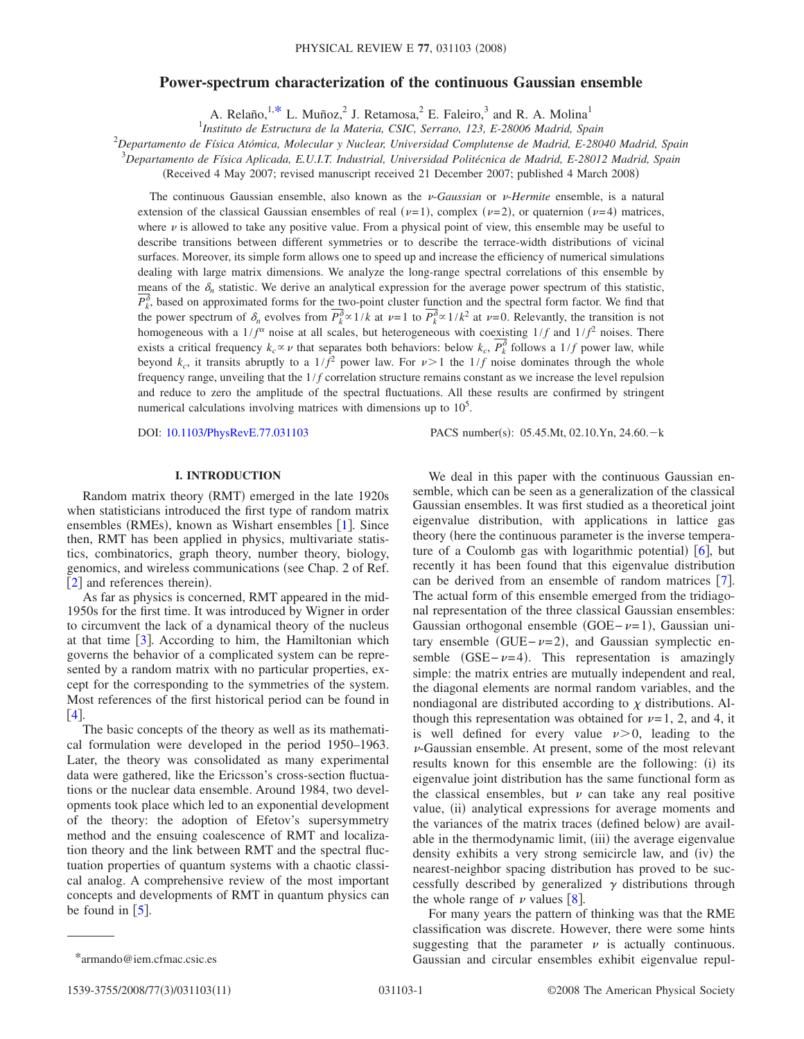## **Power-spectrum characterization of the continuous Gaussian ensemble**

A. Relaño,  $1, *$  L. Muñoz, <sup>2</sup> J. Retamosa, <sup>2</sup> E. Faleiro, <sup>3</sup> and R. A. Molina<sup>1</sup>

1 *Instituto de Estructura de la Materia, CSIC, Serrano, 123, E-28006 Madrid, Spain*

2 *Departamento de Física Atómica, Molecular y Nuclear, Universidad Complutense de Madrid, E-28040 Madrid, Spain*

3 *Departamento de Física Aplicada, E.U.I.T. Industrial, Universidad Politécnica de Madrid, E-28012 Madrid, Spain*

(Received 4 May 2007; revised manuscript received 21 December 2007; published 4 March 2008)

The continuous Gaussian ensemble, also known as the  $\nu$ -*Gaussian* or  $\nu$ -*Hermite* ensemble, is a natural extension of the classical Gaussian ensembles of real ( $\nu=1$ ), complex ( $\nu=2$ ), or quaternion ( $\nu=4$ ) matrices, where  $\nu$  is allowed to take any positive value. From a physical point of view, this ensemble may be useful to describe transitions between different symmetries or to describe the terrace-width distributions of vicinal surfaces. Moreover, its simple form allows one to speed up and increase the efficiency of numerical simulations dealing with large matrix dimensions. We analyze the long-range spectral correlations of this ensemble by means of the  $\delta_n$  statistic. We derive an analytical expression for the average power spectrum of this statistic,  $P_k^{\delta}$ , based on approximated forms for the two-point cluster function and the spectral form factor. We find that the power spectrum of  $\delta_n$  evolves from  $P_k^{\delta} \propto 1/k$  at  $\nu=1$  to  $P_k^{\delta} \propto 1/k^2$  at  $\nu=0$ . Relevantly, the transition is not homogeneous with a  $1/f^{\alpha}$  noise at all scales, but heterogeneous with coexisting  $1/f$  and  $1/f^2$  noises. There exists a critical frequency  $k_c \propto \nu$  that separates both behaviors: below  $k_c$ ,  $P_k^{\delta}$  follows a 1/*f* power law, while beyond  $k_c$ , it transits abruptly to a  $1/f^2$  power law. For  $\nu > 1$  the  $1/f$  noise dominates through the whole frequency range, unveiling that the  $1/f$  correlation structure remains constant as we increase the level repulsion and reduce to zero the amplitude of the spectral fluctuations. All these results are confirmed by stringent numerical calculations involving matrices with dimensions up to  $10<sup>5</sup>$ .

DOI: [10.1103/PhysRevE.77.031103](http://dx.doi.org/10.1103/PhysRevE.77.031103)

PACS number(s): 05.45.Mt, 02.10.Yn, 24.60. - k

## **I. INTRODUCTION**

Random matrix theory (RMT) emerged in the late 1920s when statisticians introduced the first type of random matrix ensembles (RMEs), known as Wishart ensembles [[1](#page-10-0)]. Since then, RMT has been applied in physics, multivariate statistics, combinatorics, graph theory, number theory, biology, genomics, and wireless communications (see Chap. 2 of Ref.  $[2]$  $[2]$  $[2]$  and references therein).

As far as physics is concerned, RMT appeared in the mid-1950s for the first time. It was introduced by Wigner in order to circumvent the lack of a dynamical theory of the nucleus at that time  $\lceil 3 \rceil$  $\lceil 3 \rceil$  $\lceil 3 \rceil$ . According to him, the Hamiltonian which governs the behavior of a complicated system can be represented by a random matrix with no particular properties, except for the corresponding to the symmetries of the system. Most references of the first historical period can be found in  $[4]$  $[4]$  $[4]$ .

The basic concepts of the theory as well as its mathematical formulation were developed in the period 1950–1963. Later, the theory was consolidated as many experimental data were gathered, like the Ericsson's cross-section fluctuations or the nuclear data ensemble. Around 1984, two developments took place which led to an exponential development of the theory: the adoption of Efetov's supersymmetry method and the ensuing coalescence of RMT and localization theory and the link between RMT and the spectral fluctuation properties of quantum systems with a chaotic classical analog. A comprehensive review of the most important concepts and developments of RMT in quantum physics can be found in  $\lceil 5 \rceil$  $\lceil 5 \rceil$  $\lceil 5 \rceil$ .

We deal in this paper with the continuous Gaussian ensemble, which can be seen as a generalization of the classical Gaussian ensembles. It was first studied as a theoretical joint eigenvalue distribution, with applications in lattice gas theory (here the continuous parameter is the inverse temperature of a Coulomb gas with logarithmic potential)  $[6]$  $[6]$  $[6]$ , but recently it has been found that this eigenvalue distribution can be derived from an ensemble of random matrices  $|7|$  $|7|$  $|7|$ . The actual form of this ensemble emerged from the tridiagonal representation of the three classical Gaussian ensembles: Gaussian orthogonal ensemble  $(GOE-*v*=1)$ , Gaussian unitary ensemble (GUE $-\nu=2$ ), and Gaussian symplectic ensemble  $(GSE - \nu = 4)$ . This representation is amazingly simple: the matrix entries are mutually independent and real, the diagonal elements are normal random variables, and the nondiagonal are distributed according to  $\chi$  distributions. Although this representation was obtained for  $\nu=1, 2$ , and 4, it is well defined for every value  $\nu > 0$ , leading to the  $\nu$ -Gaussian ensemble. At present, some of the most relevant results known for this ensemble are the following: (i) its eigenvalue joint distribution has the same functional form as the classical ensembles, but  $\nu$  can take any real positive value, (ii) analytical expressions for average moments and the variances of the matrix traces (defined below) are available in the thermodynamic limit, (iii) the average eigenvalue density exhibits a very strong semicircle law, and (iv) the nearest-neighbor spacing distribution has proved to be successfully described by generalized  $\gamma$  distributions through the whole range of  $\nu$  values [[8](#page-10-7)].

For many years the pattern of thinking was that the RME classification was discrete. However, there were some hints suggesting that the parameter  $\nu$  is actually continuous. \*armando@iem.cfmac.csic.es Gaussian and circular ensembles exhibit eigenvalue repul-

<span id="page-0-0"></span>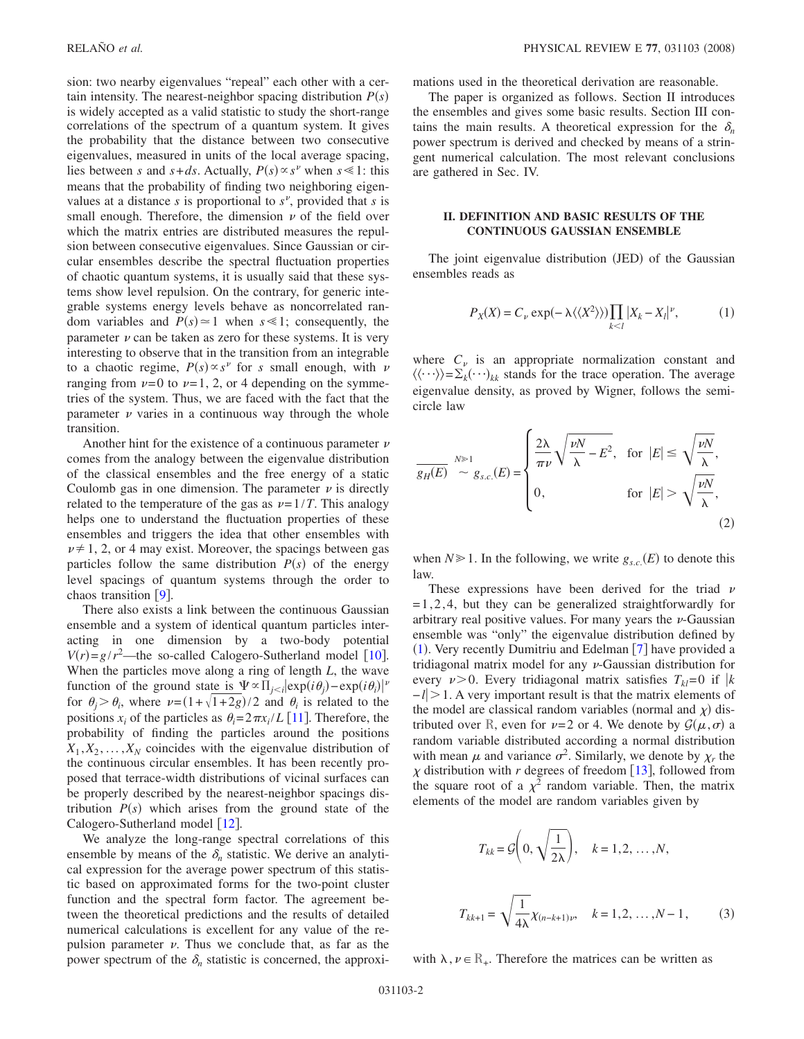sion: two nearby eigenvalues "repeal" each other with a certain intensity. The nearest-neighbor spacing distribution  $P(s)$ is widely accepted as a valid statistic to study the short-range correlations of the spectrum of a quantum system. It gives the probability that the distance between two consecutive eigenvalues, measured in units of the local average spacing, lies between *s* and  $s + ds$ . Actually,  $P(s) \propto s^{\nu}$  when  $s \le 1$ : this means that the probability of finding two neighboring eigenvalues at a distance  $s$  is proportional to  $s^{\nu}$ , provided that  $s$  is small enough. Therefore, the dimension  $\nu$  of the field over which the matrix entries are distributed measures the repulsion between consecutive eigenvalues. Since Gaussian or circular ensembles describe the spectral fluctuation properties of chaotic quantum systems, it is usually said that these systems show level repulsion. On the contrary, for generic integrable systems energy levels behave as noncorrelated random variables and  $P(s) \approx 1$  when  $s \ll 1$ ; consequently, the parameter  $\nu$  can be taken as zero for these systems. It is very interesting to observe that in the transition from an integrable to a chaotic regime,  $P(s) \propto s^{\nu}$  for *s* small enough, with  $\nu$ ranging from  $\nu=0$  to  $\nu=1, 2$ , or 4 depending on the symmetries of the system. Thus, we are faced with the fact that the parameter  $\nu$  varies in a continuous way through the whole transition.

Another hint for the existence of a continuous parameter  $\nu$ comes from the analogy between the eigenvalue distribution of the classical ensembles and the free energy of a static Coulomb gas in one dimension. The parameter  $\nu$  is directly related to the temperature of the gas as  $\nu = 1/T$ . This analogy helps one to understand the fluctuation properties of these ensembles and triggers the idea that other ensembles with  $\nu \neq 1$ , 2, or 4 may exist. Moreover, the spacings between gas particles follow the same distribution  $P(s)$  of the energy level spacings of quantum systems through the order to chaos transition  $\lceil 9 \rceil$  $\lceil 9 \rceil$  $\lceil 9 \rceil$ .

There also exists a link between the continuous Gaussian ensemble and a system of identical quantum particles interacting in one dimension by a two-body potential  $V(r) = g/r^2$ —the so-called Calogero-Sutherland model [[10](#page-10-9)]. When the particles move along a ring of length *L*, the wave function of the ground state is  $\Psi \propto \prod_{j \leq i} \exp(i\theta_j) - \exp(i\theta_i) \nu$ for  $\theta_j > \theta_i$ , where  $\nu = (1 + \sqrt{1+2g})/2$  and  $\theta_i$  is related to the positions  $x_i$  of the particles as  $\theta_i = 2\pi x_i / L$  [[11](#page-10-10)]. Therefore, the probability of finding the particles around the positions  $X_1, X_2, \ldots, X_N$  coincides with the eigenvalue distribution of the continuous circular ensembles. It has been recently proposed that terrace-width distributions of vicinal surfaces can be properly described by the nearest-neighbor spacings distribution  $P(s)$  which arises from the ground state of the Calogero-Sutherland model  $\lceil 12 \rceil$  $\lceil 12 \rceil$  $\lceil 12 \rceil$ .

We analyze the long-range spectral correlations of this ensemble by means of the  $\delta_n$  statistic. We derive an analytical expression for the average power spectrum of this statistic based on approximated forms for the two-point cluster function and the spectral form factor. The agreement between the theoretical predictions and the results of detailed numerical calculations is excellent for any value of the repulsion parameter  $\nu$ . Thus we conclude that, as far as the power spectrum of the  $\delta_n$  statistic is concerned, the approximations used in the theoretical derivation are reasonable.

The paper is organized as follows. Section II introduces the ensembles and gives some basic results. Section III contains the main results. A theoretical expression for the  $\delta_n$ power spectrum is derived and checked by means of a stringent numerical calculation. The most relevant conclusions are gathered in Sec. IV.

### **II. DEFINITION AND BASIC RESULTS OF THE CONTINUOUS GAUSSIAN ENSEMBLE**

<span id="page-1-0"></span>The joint eigenvalue distribution (JED) of the Gaussian ensembles reads as

$$
P_X(X) = C_{\nu} \exp(-\lambda \langle \langle X^2 \rangle \rangle) \prod_{k < l} |X_k - X_l|^{\nu},\tag{1}
$$

where  $C_v$  is an appropriate normalization constant and  $\langle \langle \cdots \rangle \rangle = \sum_{k} (\cdots)_{kk}$  stands for the trace operation. The average eigenvalue density, as proved by Wigner, follows the semicircle law

$$
\frac{\partial}{\partial g_E(E)} \stackrel{N \gg 1}{\sim} g_{s.c.}(E) = \begin{cases} \frac{2\lambda}{\pi \nu} \sqrt{\frac{\nu N}{\lambda} - E^2}, & \text{for } |E| \le \sqrt{\frac{\nu N}{\lambda}}, \\ 0, & \text{for } |E| > \sqrt{\frac{\nu N}{\lambda}}, \end{cases}
$$
(2)

when  $N \ge 1$ . In the following, we write  $g_{s.c.}(E)$  to denote this law.

These expressions have been derived for the triad  $\nu$  $=1,2,4$ , but they can be generalized straightforwardly for arbitrary real positive values. For many years the  $\nu$ -Gaussian ensemble was "only" the eigenvalue distribution defined by ([1](#page-1-0)). Very recently Dumitriu and Edelman [[7](#page-10-6)] have provided a tridiagonal matrix model for any  $\nu$ -Gaussian distribution for every  $v > 0$ . Every tridiagonal matrix satisfies  $T_{kl} = 0$  if  $k$ −*l*1. A very important result is that the matrix elements of the model are classical random variables (normal and  $\chi$ ) distributed over R, even for  $\nu=2$  or 4. We denote by  $\mathcal{G}(\mu,\sigma)$  a random variable distributed according a normal distribution with mean  $\mu$  and variance  $\sigma^2$ . Similarly, we denote by  $\chi_r$  the  $\chi$  distribution with *r* degrees of freedom [[13](#page-10-12)], followed from the square root of a  $\chi^2$  random variable. Then, the matrix elements of the model are random variables given by

$$
T_{kk} = \mathcal{G}\left(0, \sqrt{\frac{1}{2\lambda}}\right), \quad k = 1, 2, ..., N,
$$
  

$$
T_{kk+1} = \sqrt{\frac{1}{4\lambda}} \chi_{(n-k+1)\nu}, \quad k = 1, 2, ..., N-1,
$$
 (3)

with  $\lambda, \nu \in \mathbb{R}_+$ . Therefore the matrices can be written as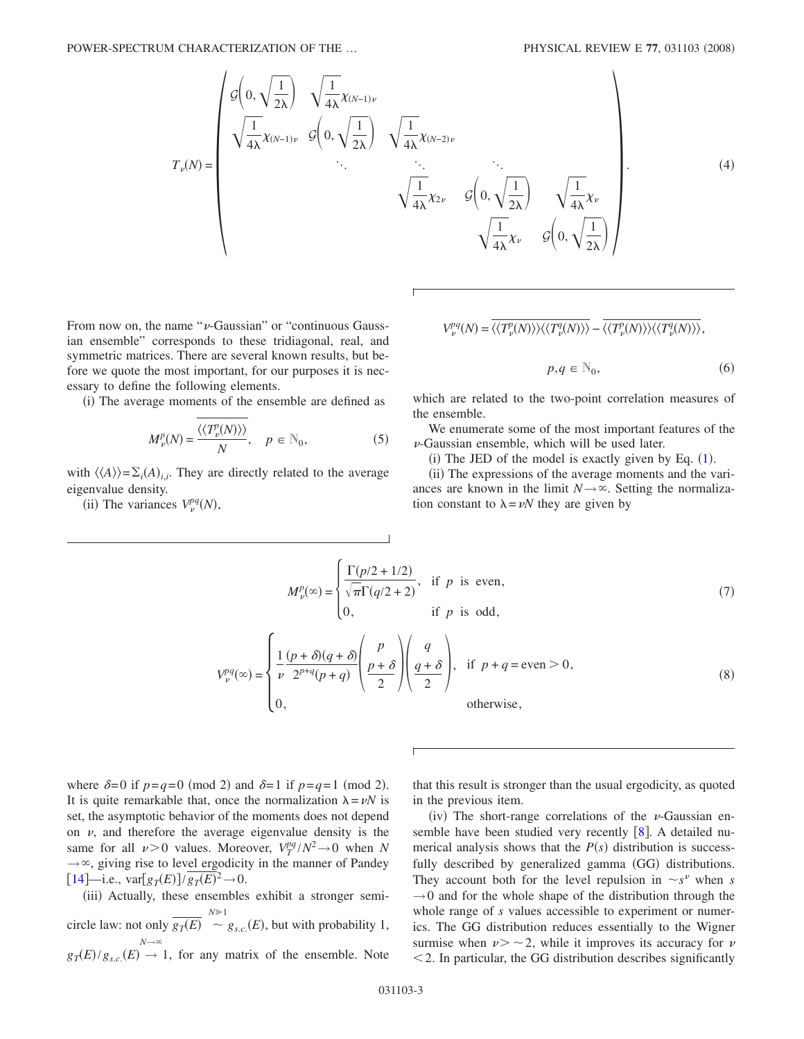POWER-SPECTRUM CHARACTERIZATION OF THE ...

$$
T_{\nu}(N) = \begin{pmatrix} g\left(0, \sqrt{\frac{1}{2\lambda}}\right) & \sqrt{\frac{1}{4\lambda}} \chi_{(N-1)\nu} \\ \sqrt{\frac{1}{4\lambda}} \chi_{(N-1)\nu} & g\left(0, \sqrt{\frac{1}{2\lambda}}\right) & \sqrt{\frac{1}{4\lambda}} \chi_{(N-2)\nu} \\ \ddots & \ddots & \ddots & \ddots \\ \sqrt{\frac{1}{4\lambda}} \chi_{2\nu} & g\left(0, \sqrt{\frac{1}{2\lambda}}\right) & \sqrt{\frac{1}{4\lambda}} \chi_{\nu} \\ \sqrt{\frac{1}{4\lambda}} \chi_{\nu} & g\left(0, \sqrt{\frac{1}{2\lambda}}\right) \end{pmatrix} . \tag{4}
$$

From now on, the name " $\nu$ -Gaussian" or "continuous Gaussian ensemble" corresponds to these tridiagonal, real, and symmetric matrices. There are several known results, but before we quote the most important, for our purposes it is necessary to define the following elements.

(i) The average moments of the ensemble are defined as

$$
M_{\nu}^{p}(N) = \frac{\langle \langle T_{\nu}^{p}(N) \rangle \rangle}{N}, \quad p \in \mathbb{N}_{0},
$$
 (5)

with  $\langle \langle A \rangle \rangle = \sum_i (A)_{i,i}$ . They are directly related to the average eigenvalue density.

(ii) The variances  $V_p^{pq}(N)$ ,

$$
V_{\nu}^{pq}(N) = \langle \langle T_{\nu}^{p}(N) \rangle \rangle \langle \langle T_{\nu}^{q}(N) \rangle \rangle - \overline{\langle \langle T_{\nu}^{p}(N) \rangle \rangle \langle \langle T_{\nu}^{q}(N) \rangle \rangle},
$$

$$
p, q \in \mathbb{N}_0,\tag{6}
$$

which are related to the two-point correlation measures of the ensemble.

We enumerate some of the most important features of the  $\nu$ -Gaussian ensemble, which will be used later.

 $(i)$  The JED of the model is exactly given by Eq.  $(1)$  $(1)$  $(1)$ .

(ii) The expressions of the average moments and the variances are known in the limit  $N \rightarrow \infty$ . Setting the normalization constant to  $\lambda = vN$  they are given by

$$
M_{\nu}^{p}(\infty) = \begin{cases} \frac{\Gamma(p/2 + 1/2)}{\sqrt{\pi}\Gamma(q/2 + 2)}, & \text{if } p \text{ is even,} \\ 0, & \text{if } p \text{ is odd,} \end{cases}
$$
(7)

$$
V_{\nu}^{pq}(\infty) = \begin{cases} \frac{1}{\nu} \frac{(p+\delta)(q+\delta)}{2^{p+q}(p+q)} \left( \frac{p}{p+\delta} \right) \left( \frac{q}{q+\delta} \right), & \text{if } p+q = \text{even} > 0, \\ 0, & \text{otherwise,} \end{cases}
$$
(8)

where  $\delta = 0$  if  $p = q = 0 \pmod{2}$  and  $\delta = 1$  if  $p = q = 1 \pmod{2}$ . It is quite remarkable that, once the normalization  $\lambda = vN$  is set, the asymptotic behavior of the moments does not depend on  $\nu$ , and therefore the average eigenvalue density is the same for all  $\nu > 0$  values. Moreover,  $V_T^{pq}/N^2 \rightarrow 0$  when *N*  $\rightarrow \infty$ , giving rise to level ergodicity in the manner of Pandey  $[14]$  $[14]$  $[14]$ —i.e.,  $\text{var}[g_T(E)] / \overline{g_T(E)}^2 \to 0$ .

(iii) Actually, these ensembles exhibit a stronger semicircle law: not only  $\frac{N}{g_T(E)} \stackrel{N \ge 1}{\sim}$  $g_{s.c.}(E)$ , but with probability 1,  $g_T(E)/g_{s.c.}(E) \rightarrow 1$ , for any matrix of the ensemble. Note  $N \rightarrow \infty$ 

that this result is stronger than the usual ergodicity, as quoted in the previous item.

(iv) The short-range correlations of the  $\nu$ -Gaussian ensemble have been studied very recently  $[8]$  $[8]$  $[8]$ . A detailed numerical analysis shows that the  $P(s)$  distribution is successfully described by generalized gamma (GG) distributions. They account both for the level repulsion in  $\sim s^{\nu}$  when *s*  $\rightarrow$ 0 and for the whole shape of the distribution through the whole range of *s* values accessible to experiment or numerics. The GG distribution reduces essentially to the Wigner surmise when  $\nu > -2$ , while it improves its accuracy for  $\nu$  $\leq$  2. In particular, the GG distribution describes significantly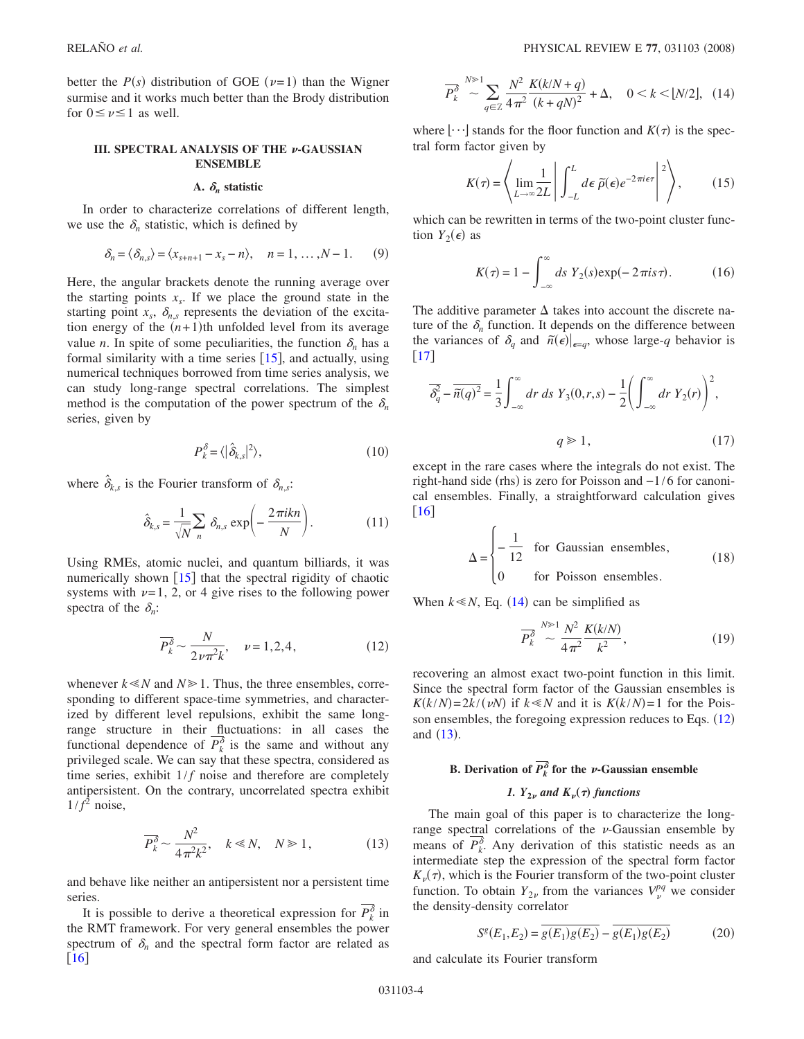better the  $P(s)$  distribution of GOE ( $\nu$ =1) than the Wigner surmise and it works much better than the Brody distribution for  $0 \leq \nu \leq 1$  as well.

### **III. SPECTRAL ANALYSIS OF THE**  $\nu$ **-GAUSSIAN ENSEMBLE**

### A.  $\delta_n$  statistic

In order to characterize correlations of different length, we use the  $\delta_n$  statistic, which is defined by

$$
\delta_n = \langle \delta_{n,s} \rangle = \langle x_{s+n+1} - x_s - n \rangle, \quad n = 1, \dots, N-1. \tag{9}
$$

Here, the angular brackets denote the running average over the starting points  $x<sub>s</sub>$ . If we place the ground state in the starting point  $x_s$ ,  $\delta_{n,s}$  represents the deviation of the excitation energy of the  $(n+1)$ <sup>th</sup> unfolded level from its average value *n*. In spite of some peculiarities, the function  $\delta_n$  has a formal similarity with a time series  $\lceil 15 \rceil$  $\lceil 15 \rceil$  $\lceil 15 \rceil$ , and actually, using numerical techniques borrowed from time series analysis, we can study long-range spectral correlations. The simplest method is the computation of the power spectrum of the  $\delta_n$ series, given by

$$
P_k^{\delta} = \langle |\hat{\delta}_{k,s}|^2 \rangle, \tag{10}
$$

where  $\hat{\delta}_{k,s}$  is the Fourier transform of  $\delta_{n,s}$ :

$$
\hat{\delta}_{k,s} = \frac{1}{\sqrt{N}} \sum_{n} \delta_{n,s} \exp\left(-\frac{2\pi i k n}{N}\right). \tag{11}
$$

Using RMEs, atomic nuclei, and quantum billiards, it was numerically shown  $\begin{bmatrix} 15 \end{bmatrix}$  $\begin{bmatrix} 15 \end{bmatrix}$  $\begin{bmatrix} 15 \end{bmatrix}$  that the spectral rigidity of chaotic systems with  $\nu=1$ , 2, or 4 give rises to the following power spectra of the  $\delta_n$ :

$$
\overline{P_k^{\delta}} \sim \frac{N}{2\nu\pi^2 k}, \quad \nu = 1, 2, 4,
$$
 (12)

<span id="page-3-1"></span>whenever  $k \le N$  and  $N \ge 1$ . Thus, the three ensembles, corresponding to different space-time symmetries, and characterized by different level repulsions, exhibit the same longrange structure in their fluctuations: in all cases the functional dependence of  $P_k^{\delta}$  is the same and without any privileged scale. We can say that these spectra, considered as time series, exhibit  $1/f$  noise and therefore are completely antipersistent. On the contrary, uncorrelated spectra exhibit  $1/f<sup>2</sup>$  noise,

$$
\overline{P_k^{\delta}} \sim \frac{N^2}{4\pi^2 k^2}, \quad k \ll N, \quad N \gg 1,
$$
 (13)

<span id="page-3-2"></span>and behave like neither an antipersistent nor a persistent time series.

It is possible to derive a theoretical expression for  $P_k^{\delta}$  in the RMT framework. For very general ensembles the power spectrum of  $\delta_n$  and the spectral form factor are related as  $\lceil 16 \rceil$  $\lceil 16 \rceil$  $\lceil 16 \rceil$ 

<span id="page-3-0"></span>
$$
\overline{P_k^{\delta}} \stackrel{N \gg 1}{\sim} \sum_{q \in \mathbb{Z}} \frac{N^2}{4\pi^2} \frac{K(k/N+q)}{(k+qN)^2} + \Delta, \quad 0 < k < \lfloor N/2 \rfloor, \tag{14}
$$

where  $\lfloor \cdots \rfloor$  stands for the floor function and  $K(\tau)$  is the spectral form factor given by

$$
K(\tau) = \left\langle \lim_{L \to \infty} \frac{1}{2L} \middle| \int_{-L}^{L} d\epsilon \, \tilde{\rho}(\epsilon) e^{-2\pi i \epsilon \tau} \middle|^{2} \right\rangle, \qquad (15)
$$

which can be rewritten in terms of the two-point cluster function  $Y_2(\epsilon)$  as

$$
K(\tau) = 1 - \int_{-\infty}^{\infty} ds \ Y_2(s) \exp(-2\pi i s \tau). \tag{16}
$$

The additive parameter  $\Delta$  takes into account the discrete nature of the  $\delta_n$  function. It depends on the difference between the variances of  $\delta_q$  and  $\tilde{n}(\epsilon)|_{\epsilon=q}$ , whose large-*q* behavior is | [17](#page-10-16) |

$$
\overline{\delta_q^2} - \overline{\tilde{n}(q)^2} = \frac{1}{3} \int_{-\infty}^{\infty} dr \, ds \, Y_3(0, r, s) - \frac{1}{2} \left( \int_{-\infty}^{\infty} dr \, Y_2(r) \right)^2,
$$
  
  $q \ge 1,$  (17)

except in the rare cases where the integrals do not exist. The right-hand side (rhs) is zero for Poisson and -1/6 for canonical ensembles. Finally, a straightforward calculation gives  $\lceil 16 \rceil$  $\lceil 16 \rceil$  $\lceil 16 \rceil$ 

$$
\Delta = \begin{cases}\n-\frac{1}{12} & \text{for Gaussian ensembles,} \\
0 & \text{for Poisson ensembles.}\n\end{cases}
$$
\n(18)

When  $k \le N$ , Eq. ([14](#page-3-0)) can be simplified as

$$
\overline{P_k^{\delta}} \stackrel{N \gg 1}{\sim} \frac{N^2}{4\pi^2} \frac{K(k/N)}{k^2},\tag{19}
$$

recovering an almost exact two-point function in this limit. Since the spectral form factor of the Gaussian ensembles is  $K(k/N) = 2k/(vN)$  if  $k \ll N$  and it is  $K(k/N) = 1$  for the Poisson ensembles, the foregoing expression reduces to Eqs.  $(12)$  $(12)$  $(12)$ and  $(13)$  $(13)$  $(13)$ .

# **B.** Derivation of  $P_k^{\delta}$  for the *v*-Gaussian ensemble *1.*  $Y_{2\nu}$  *and*  $K_{\nu}(\tau)$  *functions*

The main goal of this paper is to characterize the longrange spectral correlations of the  $\nu$ -Gaussian ensemble by means of  $P_k^{\delta}$ . Any derivation of this statistic needs as an intermediate step the expression of the spectral form factor  $K_{\nu}(\tau)$ , which is the Fourier transform of the two-point cluster function. To obtain  $Y_{2\nu}$  from the variances  $V_{\nu}^{pq}$  we consider the density-density correlator

$$
S^{g}(E_1, E_2) = \overline{g(E_1)g(E_2)} - \overline{g(E_1)g(E_2)}\tag{20}
$$

and calculate its Fourier transform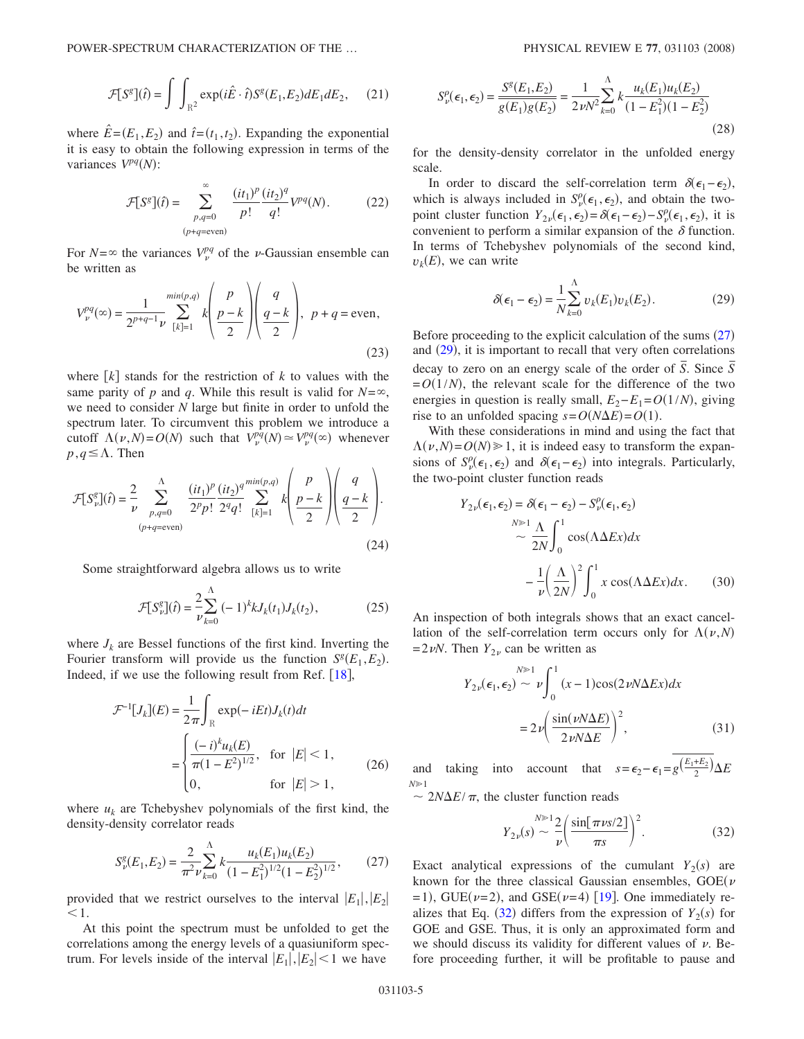POWER-SPECTRUM CHARACTERIZATION OF THE ...

$$
\mathcal{F}[S^g](\hat{t}) = \int \int_{\mathbb{R}^2} \exp(i\hat{E} \cdot \hat{t}) S^g(E_1, E_2) dE_1 dE_2, \quad (21)
$$

where  $\hat{E} = (E_1, E_2)$  and  $\hat{t} = (t_1, t_2)$ . Expanding the exponential it is easy to obtain the following expression in terms of the variances  $V^{pq}(N)$ :

$$
\mathcal{F}[S^g](\hat{t}) = \sum_{\substack{p,q=0 \ (p+q=\text{even})}}^{\infty} \frac{(it_1)^p}{p!} \frac{(it_2)^q}{q!} V^{pq}(N). \tag{22}
$$

For  $N = \infty$  the variances  $V_p^{pq}$  of the *v*-Gaussian ensemble can be written as

$$
V_{\nu}^{pq}(\infty) = \frac{1}{2^{p+q-1}\nu} \sum_{[k]=1}^{\min(p,q)} k \left( \frac{p}{p-k} \right) \left( \frac{q}{q-k} \right), \ p+q = \text{even}, \tag{23}
$$

where  $\lfloor k \rfloor$  stands for the restriction of k to values with the same parity of *p* and *q*. While this result is valid for  $N = \infty$ , we need to consider *N* large but finite in order to unfold the spectrum later. To circumvent this problem we introduce a cutoff  $\Lambda(\nu, N) = O(N)$  such that  $V_{\nu}^{pq}(N) \simeq V_{\nu}^{pq}(\infty)$  whenever  $p, q \leq \Lambda$ . Then

$$
\mathcal{F}[S_{\nu}^{g}](\hat{t}) = \frac{2}{\nu} \sum_{\substack{p,q=0 \ (p+q=\text{even})}}^{\Lambda} \frac{(it_1)^p}{2^p p!} \frac{(it_2)^q}{2^q q!} \sum_{[k]=1}^{\min(p,q)} k \left(\frac{p}{p-k}\right) \left(\frac{q-k}{2}\right).
$$
\n(24)

Some straightforward algebra allows us to write

$$
\mathcal{F}[S_{\nu}^{g}](\hat{t}) = \frac{2}{\nu} \sum_{k=0}^{\Lambda} (-1)^{k} k J_{k}(t_{1}) J_{k}(t_{2}), \qquad (25)
$$

where  $J_k$  are Bessel functions of the first kind. Inverting the Fourier transform will provide us the function  $S^g(E_1, E_2)$ . Indeed, if we use the following result from Ref.  $[18]$  $[18]$  $[18]$ ,

$$
\mathcal{F}^{-1}[J_k](E) = \frac{1}{2\pi} \int_{\mathbb{R}} \exp(-iEt) J_k(t) dt
$$

$$
= \begin{cases} \frac{(-i)^k u_k(E)}{\pi (1 - E^2)^{1/2}}, & \text{for } |E| < 1, \\ 0, & \text{for } |E| > 1, \end{cases}
$$
(26)

<span id="page-4-0"></span>where  $u_k$  are Tchebyshev polynomials of the first kind, the density-density correlator reads

$$
S_{\nu}^{g}(E_1, E_2) = \frac{2}{\pi^2 \nu} \sum_{k=0}^{\Lambda} k \frac{u_k(E_1) u_k(E_2)}{(1 - E_1^2)^{1/2} (1 - E_2^2)^{1/2}},
$$
 (27)

provided that we restrict ourselves to the interval  $|E_1|, |E_2|$  $\leq 1$ .

At this point the spectrum must be unfolded to get the correlations among the energy levels of a quasiuniform spectrum. For levels inside of the interval  $|E_1|, |E_2|$  < 1 we have

$$
S_{\nu}^{\rho}(\epsilon_1, \epsilon_2) = \frac{S^{\rho}(E_1, E_2)}{g(E_1)g(E_2)} = \frac{1}{2\nu N^2} \sum_{k=0}^{\Lambda} k \frac{u_k(E_1)u_k(E_2)}{(1 - E_1^2)(1 - E_2^2)}
$$
(28)

for the density-density correlator in the unfolded energy scale.

In order to discard the self-correlation term  $\delta(\epsilon_1 - \epsilon_2)$ , which is always included in  $S_{\nu}^{\rho}(\epsilon_1, \epsilon_2)$ , and obtain the twopoint cluster function  $Y_{2\nu}(\epsilon_1, \epsilon_2) = \delta(\epsilon_1 - \epsilon_2) - S^{\rho}_{\nu}(\epsilon_1, \epsilon_2)$ , it is convenient to perform a similar expansion of the  $\delta$  function. In terms of Tchebyshev polynomials of the second kind,  $v_k(E)$ , we can write

$$
\delta(\epsilon_1 - \epsilon_2) = \frac{1}{N} \sum_{k=0}^{N} v_k(E_1) v_k(E_2).
$$
 (29)

<span id="page-4-1"></span>Before proceeding to the explicit calculation of the sums  $(27)$  $(27)$  $(27)$ and ([29](#page-4-1)), it is important to recall that very often correlations decay to zero on an energy scale of the order of  $\overline{S}$ . Since  $\overline{S}$  $= O(1/N)$ , the relevant scale for the difference of the two energies in question is really small,  $E_2 - E_1 = O(1/N)$ , giving rise to an unfolded spacing  $s = O(N\Delta E) = O(1)$ .

With these considerations in mind and using the fact that  $\Lambda(\nu, N) = O(N) \geq 1$ , it is indeed easy to transform the expansions of  $S_p^{\rho}(\epsilon_1, \epsilon_2)$  and  $\delta(\epsilon_1 - \epsilon_2)$  into integrals. Particularly, the two-point cluster function reads

$$
Y_{2\nu}(\epsilon_1, \epsilon_2) = \delta(\epsilon_1 - \epsilon_2) - S_{\nu}^{\rho}(\epsilon_1, \epsilon_2)
$$
  
\n
$$
\sim \frac{N^{\gg 1} \Lambda}{2N} \int_0^1 \cos(\Lambda \Delta Ex) dx
$$
  
\n
$$
- \frac{1}{\nu} \left(\frac{\Lambda}{2N}\right)^2 \int_0^1 x \cos(\Lambda \Delta Ex) dx.
$$
 (30)

An inspection of both integrals shows that an exact cancellation of the self-correlation term occurs only for  $\Lambda(\nu, N)$  $=2\nu N$ . Then  $Y_{2\nu}$  can be written as

$$
Y_{2\nu}(\epsilon_1, \epsilon_2) \sim \nu \int_0^1 (x - 1) \cos(2\nu N \Delta Ex) dx
$$

$$
= 2\nu \left( \frac{\sin(\nu N \Delta E)}{2\nu N \Delta E} \right)^2,
$$
(31)

and taking into account that  $s = \epsilon_2 - \epsilon_1 = g\left(\frac{E_1 + E_2}{2}\right) \Delta E$  $N\geq 1$ 

<span id="page-4-2"></span> $\sim 2N\Delta E/\pi$ , the cluster function reads

$$
Y_{2\nu}(s) \sim \frac{N^{\geqslant 1} 2}{\nu} \left( \frac{\sin[\pi \nu s/2]}{\pi s} \right)^2.
$$
 (32)

Exact analytical expressions of the cumulant  $Y_2(s)$  are known for the three classical Gaussian ensembles,  $GOE(\nu)$  $=$ 1), GUE( $\nu$ =2), and GSE( $\nu$ =4) [[19](#page-10-18)]. One immediately realizes that Eq.  $(32)$  $(32)$  $(32)$  differs from the expression of  $Y_2(s)$  for GOE and GSE. Thus, it is only an approximated form and we should discuss its validity for different values of  $\nu$ . Before proceeding further, it will be profitable to pause and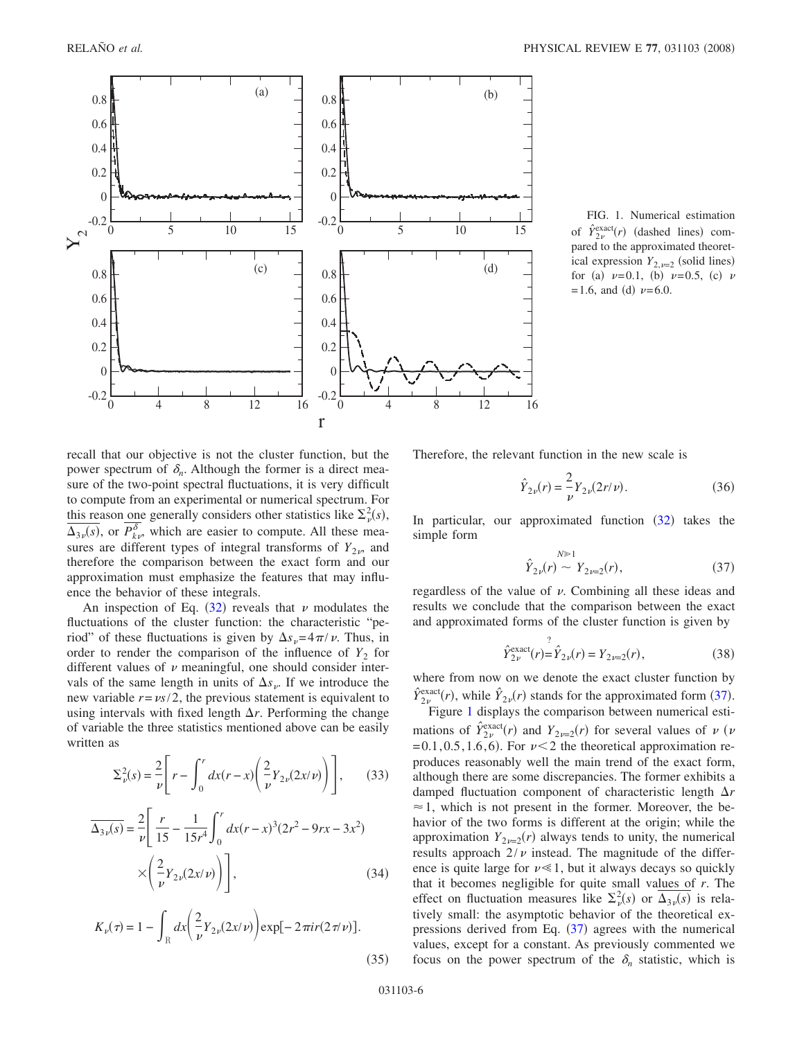<span id="page-5-1"></span>

FIG. 1. Numerical estimation of  $\hat{Y}_{2\nu}^{\text{exact}}(r)$  (dashed lines) compared to the approximated theoretical expression  $Y_{2,\nu=2}$  (solid lines) for (a)  $\nu=0.1$ , (b)  $\nu=0.5$ , (c)  $\nu$  $= 1.6$ , and (d)  $\nu = 6.0$ .

recall that our objective is not the cluster function, but the power spectrum of  $\delta_n$ . Although the former is a direct measure of the two-point spectral fluctuations, it is very difficult to compute from an experimental or numerical spectrum. For this reason one generally considers other statistics like  $\Sigma^2_{\nu}(s)$ ,  $\overline{\Delta_{3\nu}(s)}$ , or  $P_{k\nu}^{\delta}$ , which are easier to compute. All these measures are different types of integral transforms of  $Y_{2\nu}$ , and therefore the comparison between the exact form and our approximation must emphasize the features that may influence the behavior of these integrals.

An inspection of Eq.  $(32)$  $(32)$  $(32)$  reveals that  $\nu$  modulates the fluctuations of the cluster function: the characteristic "period" of these fluctuations is given by  $\Delta s_v = 4\pi/v$ . Thus, in order to render the comparison of the influence of  $Y_2$  for different values of  $\nu$  meaningful, one should consider intervals of the same length in units of  $\Delta s_{\nu}$ . If we introduce the new variable  $r = \frac{vs}{2}$ , the previous statement is equivalent to using intervals with fixed length  $\Delta r$ . Performing the change of variable the three statistics mentioned above can be easily written as

$$
\Sigma_{\nu}^{2}(s) = \frac{2}{\nu} \left[ r - \int_{0}^{r} dx(r - x) \left( \frac{2}{\nu} Y_{2\nu}(2x/\nu) \right) \right],
$$
 (33)

$$
\overline{\Delta_{3\nu}(s)} = \frac{2}{\nu} \left[ \frac{r}{15} - \frac{1}{15r^4} \int_0^r dx (r - x)^3 (2r^2 - 9rx - 3x^2) \right] \times \left( \frac{2}{\nu} Y_{2\nu} (2x/\nu) \right) \bigg],
$$
\n(34)

$$
K_{\nu}(\tau) = 1 - \int_{\mathbb{R}} dx \left( \frac{2}{\nu} Y_{2\nu}(2x/\nu) \right) \exp[-2\pi i r (2\tau/\nu)].
$$
\n(35)

Therefore, the relevant function in the new scale is

$$
\hat{Y}_{2\nu}(r) = \frac{2}{\nu} Y_{2\nu}(2r/\nu).
$$
\n(36)

<span id="page-5-0"></span>In particular, our approximated function  $(32)$  $(32)$  $(32)$  takes the simple form

$$
\hat{Y}_{2\nu}(r) \sim Y_{2\nu=2}(r),\tag{37}
$$

regardless of the value of  $\nu$ . Combining all these ideas and results we conclude that the comparison between the exact and approximated forms of the cluster function is given by

$$
\hat{Y}_{2\nu}^{\text{exact}}(r) = \hat{Y}_{2\nu}(r) = Y_{2\nu=2}(r),\tag{38}
$$

where from now on we denote the exact cluster function by  $\hat{Y}_{2\nu}^{\text{exact}}(r)$ , while  $\hat{Y}_{2\nu}(r)$  stands for the approximated form ([37](#page-5-0)).

Figure [1](#page-5-1) displays the comparison between numerical estimations of  $\hat{Y}_{2\nu}^{\text{exact}}(r)$  and  $Y_{2\nu=2}(r)$  for several values of  $\nu$  ( $\nu$  $=0.1, 0.5, 1.6, 6$ . For  $\nu < 2$  the theoretical approximation reproduces reasonably well the main trend of the exact form, although there are some discrepancies. The former exhibits a damped fluctuation component of characteristic length  $\Delta r$  $\approx$  1, which is not present in the former. Moreover, the behavior of the two forms is different at the origin; while the approximation  $Y_{2\nu=2}(r)$  always tends to unity, the numerical results approach  $2/\nu$  instead. The magnitude of the difference is quite large for  $\nu \ll 1$ , but it always decays so quickly that it becomes negligible for quite small values of *r*. The effect on fluctuation measures like  $\Sigma_p^2(s)$  or  $\overline{\Delta_{3\nu}(s)}$  is relatively small: the asymptotic behavior of the theoretical expressions derived from Eq.  $(37)$  $(37)$  $(37)$  agrees with the numerical values, except for a constant. As previously commented we focus on the power spectrum of the  $\delta_n$  statistic, which is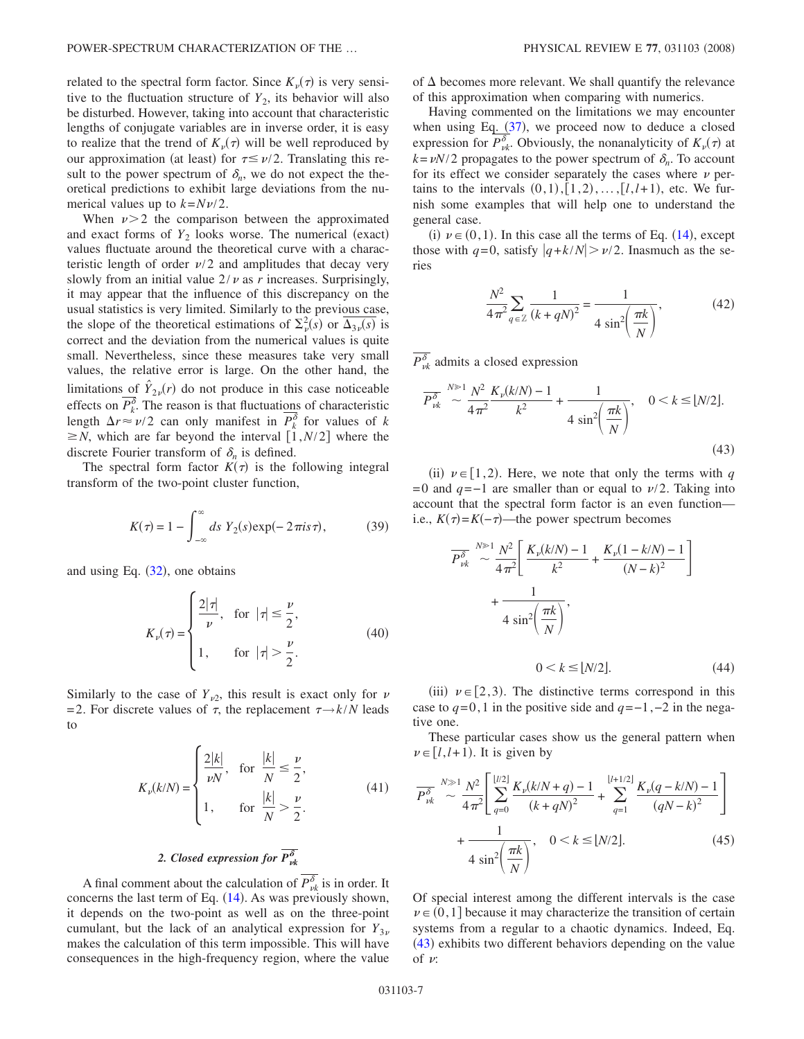related to the spectral form factor. Since  $K_{\nu}(\tau)$  is very sensitive to the fluctuation structure of  $Y_2$ , its behavior will also be disturbed. However, taking into account that characteristic lengths of conjugate variables are in inverse order, it is easy to realize that the trend of  $K_{\nu}(\tau)$  will be well reproduced by our approximation (at least) for  $\tau \leq \nu/2$ . Translating this result to the power spectrum of  $\delta_n$ , we do not expect the theoretical predictions to exhibit large deviations from the numerical values up to  $k=N\nu/2$ .

When  $\nu > 2$  the comparison between the approximated and exact forms of  $Y_2$  looks worse. The numerical (exact) values fluctuate around the theoretical curve with a characteristic length of order  $\nu/2$  and amplitudes that decay very slowly from an initial value  $2/\nu$  as *r* increases. Surprisingly, it may appear that the influence of this discrepancy on the usual statistics is very limited. Similarly to the previous case, the slope of the theoretical estimations of  $\Sigma^2_{\nu}(s)$  or  $\overline{\Delta_{3\nu}(s)}$  is correct and the deviation from the numerical values is quite small. Nevertheless, since these measures take very small values, the relative error is large. On the other hand, the limitations of  $\hat{Y}_{2\nu}(r)$  do not produce in this case noticeable effects on  $P_k^{\delta}$ . The reason is that fluctuations of characteristic length  $\Delta r \approx \nu/2$  can only manifest in  $P_k^{\delta}$  for values of *k*  $\geq N$ , which are far beyond the interval  $\left[1, N/2\right]$  where the discrete Fourier transform of  $\delta_n$  is defined.

The spectral form factor  $K(\tau)$  is the following integral transform of the two-point cluster function,

$$
K(\tau) = 1 - \int_{-\infty}^{\infty} ds \ Y_2(s) \exp(-2\pi i s \tau), \tag{39}
$$

and using Eq.  $(32)$  $(32)$  $(32)$ , one obtains

$$
K_{\nu}(\tau) = \begin{cases} \frac{2|\tau|}{\nu}, & \text{for } |\tau| \le \frac{\nu}{2}, \\ 1, & \text{for } |\tau| > \frac{\nu}{2}. \end{cases}
$$
(40)

Similarly to the case of  $Y_{\nu2}$ , this result is exact only for  $\nu$  $=$ 2. For discrete values of  $\tau$ , the replacement  $\tau \rightarrow k/N$  leads to

$$
K_{\nu}(k/N) = \begin{cases} \frac{2|k|}{\nu N}, & \text{for } \frac{|k|}{N} \le \frac{\nu}{2}, \\ 1, & \text{for } \frac{|k|}{N} > \frac{\nu}{2}. \end{cases}
$$
(41)

# 2. Closed expression for  $P_{\nu k}^{\delta}$

A final comment about the calculation of  $P_{\nu k}^{\delta}$  is in order. It concerns the last term of Eq.  $(14)$  $(14)$  $(14)$ . As was previously shown, it depends on the two-point as well as on the three-point cumulant, but the lack of an analytical expression for  $Y_{3\nu}$ makes the calculation of this term impossible. This will have consequences in the high-frequency region, where the value of  $\Delta$  becomes more relevant. We shall quantify the relevance of this approximation when comparing with numerics.

Having commented on the limitations we may encounter when using Eq.  $(37)$  $(37)$  $(37)$ , we proceed now to deduce a closed expression for  $P_{\nu k}^{\delta}$ . Obviously, the nonanalyticity of  $K_{\nu}(\tau)$  at  $k = vN/2$  propagates to the power spectrum of  $\delta_n$ . To account for its effect we consider separately the cases where  $\nu$  pertains to the intervals  $(0, 1), [1, 2), \ldots, [l, l+1)$ , etc. We furnish some examples that will help one to understand the general case.

(i)  $\nu \in (0,1)$ . In this case all the terms of Eq. ([14](#page-3-0)), except those with  $q=0$ , satisfy  $|q+k/N| > \nu/2$ . Inasmuch as the series

$$
\frac{N^2}{4\pi^2} \sum_{q \in \mathbb{Z}} \frac{1}{(k+qN)^2} = \frac{1}{4\sin^2\left(\frac{\pi k}{N}\right)},\tag{42}
$$

 $P^{\delta}_{\nu k}$  admits a closed expression

<span id="page-6-0"></span>
$$
\overline{P_{\nu k}^{\delta}} \sim \frac{N^{\delta}}{4\pi^2} \frac{K_{\nu}(k/N) - 1}{k^2} + \frac{1}{4\sin^2\left(\frac{\pi k}{N}\right)}, \quad 0 < k \leq [N/2].\tag{43}
$$

(ii)  $\nu \in [1,2)$ . Here, we note that only the terms with *q* =0 and  $q=-1$  are smaller than or equal to  $\nu/2$ . Taking into account that the spectral form factor is an even function i.e.,  $K(\tau) = K(-\tau)$ —the power spectrum becomes

$$
\overline{P_{\nu k}^{\delta}} \sim \frac{N^{\geq 1} N^2}{4 \pi^2} \left[ \frac{K_{\nu}(k/N) - 1}{k^2} + \frac{K_{\nu}(1 - k/N) - 1}{(N - k)^2} \right]
$$

$$
+ \frac{1}{4 \sin^2 \left( \frac{\pi k}{N} \right)},
$$

$$
0 < k \leq \lfloor N/2 \rfloor. \tag{44}
$$

(iii)  $\nu \in [2,3)$ . The distinctive terms correspond in this case to  $q=0,1$  in the positive side and  $q=-1,-2$  in the negative one.

These particular cases show us the general pattern when  $\nu \in [l, l+1)$ . It is given by

<span id="page-6-1"></span>
$$
\overline{P}_{\nu k}^{\delta} \sim \frac{N \gg 1}{4\pi^2} \left[ \sum_{q=0}^{\lfloor l/2 \rfloor} \frac{K_{\nu}(k/N+q) - 1}{(k+qN)^2} + \sum_{q=1}^{\lfloor l+1/2 \rfloor} \frac{K_{\nu}(q-k/N) - 1}{(qN-k)^2} \right] + \frac{1}{4\sin^2\left(\frac{\pi k}{N}\right)}, \quad 0 < k \le \lfloor N/2 \rfloor. \tag{45}
$$

Of special interest among the different intervals is the case  $\nu \in (0,1]$  because it may characterize the transition of certain systems from a regular to a chaotic dynamics. Indeed, Eq. ([43](#page-6-0)) exhibits two different behaviors depending on the value of  $\nu$ :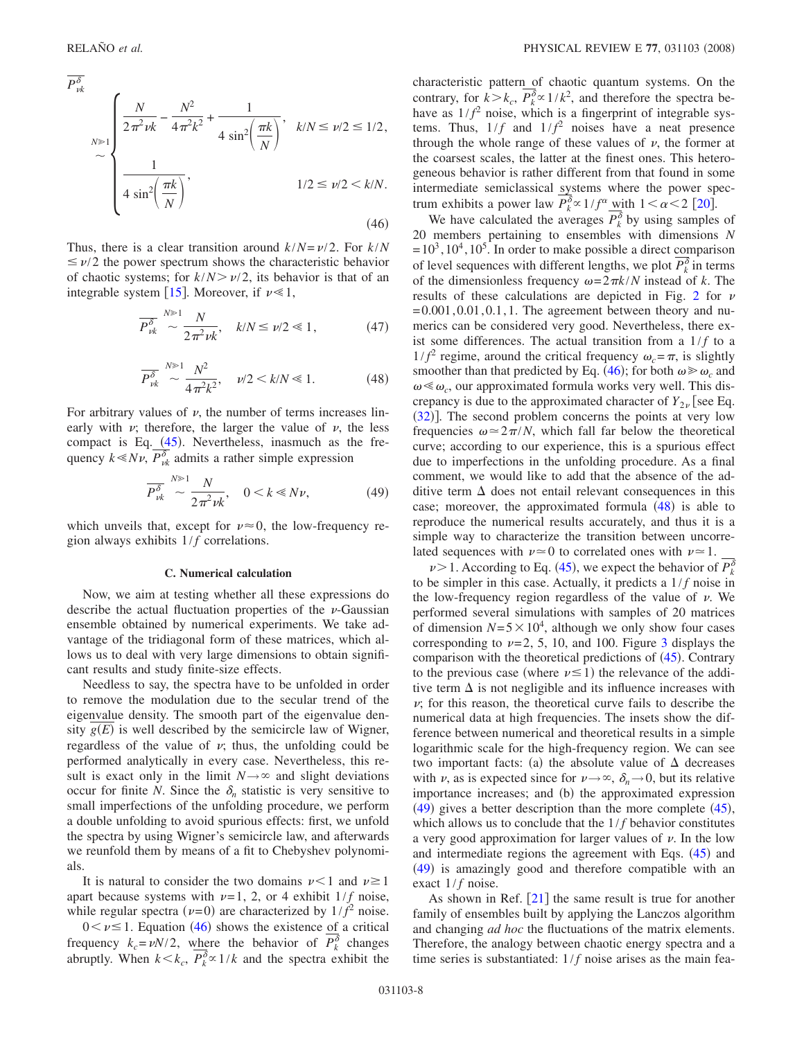<span id="page-7-0"></span>
$$
P_{\nu k}^{\delta}
$$
\n
$$
\sim \begin{cases}\n\frac{N}{2\pi^2\nu k} - \frac{N^2}{4\pi^2 k^2} + \frac{1}{4\sin^2\left(\frac{\pi k}{N}\right)}, & k/N \le \nu/2 \le 1/2, \\
\frac{1}{4\sin^2\left(\frac{\pi k}{N}\right)}, & 1/2 \le \nu/2 < k/N.\n\end{cases}
$$
\n(46)

<span id="page-7-3"></span>Thus, there is a clear transition around  $k/N = \nu/2$ . For  $k/N$  $\leq \nu/2$  the power spectrum shows the characteristic behavior of chaotic systems; for  $k/N > \nu/2$ , its behavior is that of an integrable system [[15](#page-10-14)]. Moreover, if  $\nu \ll 1$ ,

$$
\overline{P_{\nu k}^{\delta}} \sim \frac{N^{\gg 1}}{2\pi^2 \nu k}, \quad k/N \le \nu/2 \le 1, \tag{47}
$$

$$
\overline{P_{\nu k}^{\delta}} \sim \frac{N^{3/2}}{4\pi^2 k^2}, \quad \nu/2 < k/N \ll 1. \tag{48}
$$

<span id="page-7-1"></span>For arbitrary values of  $\nu$ , the number of terms increases linearly with  $\nu$ ; therefore, the larger the value of  $\nu$ , the less compact is Eq.  $(45)$  $(45)$  $(45)$ . Nevertheless, inasmuch as the frequency  $k \ll N \nu$ ,  $P_{\nu k}^{\delta}$  admits a rather simple expression

$$
\overline{P_{\nu k}^{\delta}} \sim \frac{N^{\gg 1} N}{2\pi^2 \nu k}, \quad 0 < k \ll N\nu,\tag{49}
$$

<span id="page-7-2"></span>which unveils that, except for  $\nu \approx 0$ , the low-frequency region always exhibits  $1/f$  correlations.

#### **C. Numerical calculation**

Now, we aim at testing whether all these expressions do describe the actual fluctuation properties of the  $\nu$ -Gaussian ensemble obtained by numerical experiments. We take advantage of the tridiagonal form of these matrices, which allows us to deal with very large dimensions to obtain significant results and study finite-size effects.

Needless to say, the spectra have to be unfolded in order to remove the modulation due to the secular trend of the eigenvalue density. The smooth part of the eigenvalue density  $g(E)$  is well described by the semicircle law of Wigner, regardless of the value of  $\nu$ ; thus, the unfolding could be performed analytically in every case. Nevertheless, this result is exact only in the limit  $N \rightarrow \infty$  and slight deviations occur for finite *N*. Since the  $\delta_n$  statistic is very sensitive to small imperfections of the unfolding procedure, we perform a double unfolding to avoid spurious effects: first, we unfold the spectra by using Wigner's semicircle law, and afterwards we reunfold them by means of a fit to Chebyshev polynomials.

It is natural to consider the two domains  $\nu < 1$  and  $\nu \ge 1$ apart because systems with  $\nu=1$ , 2, or 4 exhibit  $1/f$  noise, while regular spectra  $(\nu=0)$  are characterized by  $1/f^2$  noise.

 $0 < \nu \leq 1$ . Equation ([46](#page-7-0)) shows the existence of a critical frequency  $k_c = vN/2$ , where the behavior of  $P_k^{\delta}$  changes abruptly. When  $k < k_c$ ,  $P_k^{\delta} \propto 1/k$  and the spectra exhibit the characteristic pattern of chaotic quantum systems. On the contrary, for  $k > k_c$ ,  $P_k^{\delta} \propto 1/k^2$ , and therefore the spectra behave as  $1/f^2$  noise, which is a fingerprint of integrable systems. Thus,  $1/f$  and  $1/f^2$  noises have a neat presence through the whole range of these values of  $\nu$ , the former at the coarsest scales, the latter at the finest ones. This heterogeneous behavior is rather different from that found in some intermediate semiclassical systems where the power spectrum exhibits a power law  $P_k^{\delta} \propto 1/f^{\alpha} \min_{\lambda} 1 < \alpha < 2$  [[20](#page-10-19)].

We have calculated the averages  $P_k^{\delta}$  by using samples of 20 members pertaining to ensembles with dimensions *N*  $=10^3, 10^4, 10^5$ . In order to make possible a direct comparison of level sequences with different lengths, we plot  $P_k^{\delta}$  in terms of the dimensionless frequency  $\omega = 2\pi k/N$  instead of *k*. The results of these calculations are depicted in Fig. [2](#page-8-0) for  $\nu$  $=0.001, 0.01, 0.1, 1$ . The agreement between theory and numerics can be considered very good. Nevertheless, there exist some differences. The actual transition from a  $1/f$  to a  $1/f^2$  regime, around the critical frequency  $\omega_c = \pi$ , is slightly smoother than that predicted by Eq. ([46](#page-7-0)); for both  $\omega \ge \omega_c$  and  $\omega \ll \omega_c$ , our approximated formula works very well. This discrepancy is due to the approximated character of  $Y_{2\nu}$  [see Eq. ([32](#page-4-2))]. The second problem concerns the points at very low frequencies  $\omega \approx 2\pi/N$ , which fall far below the theoretical curve; according to our experience, this is a spurious effect due to imperfections in the unfolding procedure. As a final comment, we would like to add that the absence of the additive term  $\Delta$  does not entail relevant consequences in this case; moreover, the approximated formula  $(48)$  $(48)$  $(48)$  is able to reproduce the numerical results accurately, and thus it is a simple way to characterize the transition between uncorrelated sequences with  $\nu \approx 0$  to correlated ones with  $\nu \approx 1$ .

 $\nu$  > 1. According to Eq. ([45](#page-6-1)), we expect the behavior of  $P_k^{\delta}$ to be simpler in this case. Actually, it predicts a  $1/f$  noise in the low-frequency region regardless of the value of  $\nu$ . We performed several simulations with samples of 20 matrices of dimension  $N=5\times10^4$ , although we only show four cases corresponding to  $\nu=2, 5, 10,$  and 100. Figure [3](#page-9-0) displays the comparison with the theoretical predictions of  $(45)$  $(45)$  $(45)$ . Contrary to the previous case (where  $\nu \le 1$ ) the relevance of the additive term  $\Delta$  is not negligible and its influence increases with  $\nu$ ; for this reason, the theoretical curve fails to describe the numerical data at high frequencies. The insets show the difference between numerical and theoretical results in a simple logarithmic scale for the high-frequency region. We can see two important facts: (a) the absolute value of  $\Delta$  decreases with  $\nu$ , as is expected since for  $\nu \rightarrow \infty$ ,  $\delta_n \rightarrow 0$ , but its relative importance increases; and (b) the approximated expression  $(49)$  $(49)$  $(49)$  gives a better description than the more complete  $(45)$  $(45)$  $(45)$ , which allows us to conclude that the  $1/f$  behavior constitutes a very good approximation for larger values of  $\nu$ . In the low and intermediate regions the agreement with Eqs.  $(45)$  $(45)$  $(45)$  and ([49](#page-7-2)) is amazingly good and therefore compatible with an exact  $1/f$  noise.

As shown in Ref.  $[21]$  $[21]$  $[21]$  the same result is true for another family of ensembles built by applying the Lanczos algorithm and changing *ad hoc* the fluctuations of the matrix elements. Therefore, the analogy between chaotic energy spectra and a time series is substantiated:  $1/f$  noise arises as the main fea-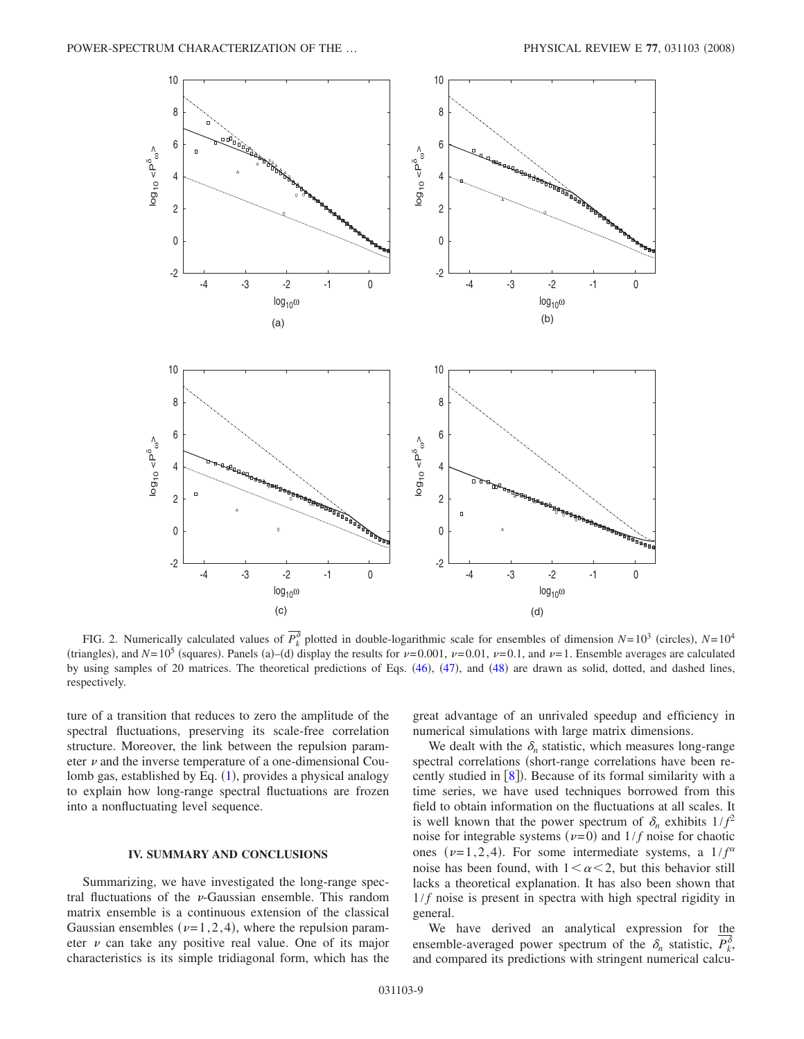<span id="page-8-0"></span>

FIG. 2. Numerically calculated values of  $P_k^{\delta}$  plotted in double-logarithmic scale for ensembles of dimension  $N=10^3$  (circles),  $N=10^4$ (triangles), and  $N=10^5$  (squares). Panels (a)–(d) display the results for  $\nu=0.001$ ,  $\nu=0.01$ ,  $\nu=0.1$ , and  $\nu=1$ . Ensemble averages are calculated by using samples of 20 matrices. The theoretical predictions of Eqs. ([46](#page-7-0)), ([47](#page-7-3)), and ([48](#page-7-1)) are drawn as solid, dotted, and dashed lines, respectively.

ture of a transition that reduces to zero the amplitude of the spectral fluctuations, preserving its scale-free correlation structure. Moreover, the link between the repulsion parameter  $\nu$  and the inverse temperature of a one-dimensional Cou-lomb gas, established by Eq. ([1](#page-1-0)), provides a physical analogy to explain how long-range spectral fluctuations are frozen into a nonfluctuating level sequence.

### **IV. SUMMARY AND CONCLUSIONS**

Summarizing, we have investigated the long-range spectral fluctuations of the  $\nu$ -Gaussian ensemble. This random matrix ensemble is a continuous extension of the classical Gaussian ensembles ( $\nu=1,2,4$ ), where the repulsion parameter  $\nu$  can take any positive real value. One of its major characteristics is its simple tridiagonal form, which has the great advantage of an unrivaled speedup and efficiency in numerical simulations with large matrix dimensions.

We dealt with the  $\delta_n$  statistic, which measures long-range spectral correlations (short-range correlations have been recently studied in  $[8]$  $[8]$  $[8]$ ). Because of its formal similarity with a time series, we have used techniques borrowed from this field to obtain information on the fluctuations at all scales. It is well known that the power spectrum of  $\delta_n$  exhibits  $1/f^2$ noise for integrable systems ( $\nu$ =0) and  $1/f$  noise for chaotic ones ( $\nu=1,2,4$ ). For some intermediate systems, a  $1/f^{\alpha}$ noise has been found, with  $1 \leq \alpha \leq 2$ , but this behavior still lacks a theoretical explanation. It has also been shown that  $1/f$  noise is present in spectra with high spectral rigidity in general.

We have derived an analytical expression for the ensemble-averaged power spectrum of the  $\delta_n$  statistic,  $P_k^{\delta}$ , and compared its predictions with stringent numerical calcu-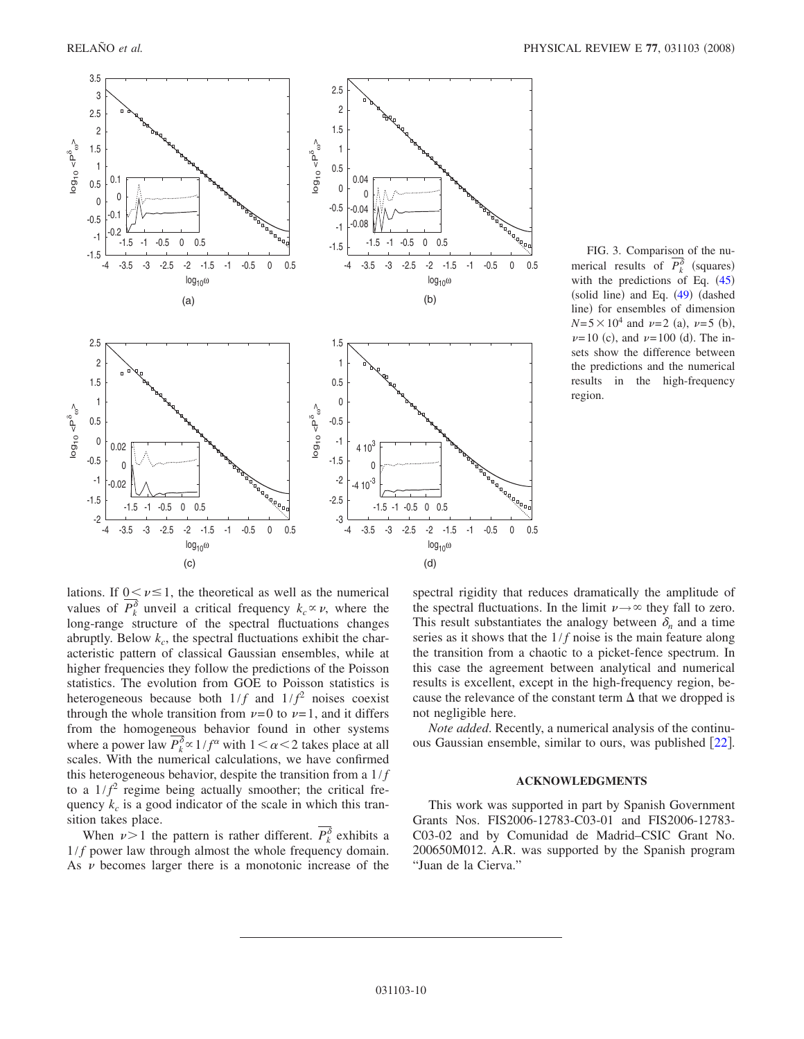<span id="page-9-0"></span>

FIG. 3. Comparison of the numerical results of  $P_k^{\delta}$  (squares) with the predictions of Eq.  $(45)$  $(45)$  $(45)$ (solid line) and Eq. ([49](#page-7-2)) (dashed line) for ensembles of dimension  $N=5\times10^4$  and  $\nu=2$  (a),  $\nu=5$  (b),  $\nu=10$  (c), and  $\nu=100$  (d). The insets show the difference between the predictions and the numerical results in the high-frequency region.

lations. If  $0 \leq \nu \leq 1$ , the theoretical as well as the numerical values of  $P_k^{\delta}$  unveil a critical frequency  $k_c \propto \nu$ , where the long-range structure of the spectral fluctuations changes abruptly. Below  $k_c$ , the spectral fluctuations exhibit the characteristic pattern of classical Gaussian ensembles, while at higher frequencies they follow the predictions of the Poisson statistics. The evolution from GOE to Poisson statistics is heterogeneous because both  $1/f$  and  $1/f<sup>2</sup>$  noises coexist through the whole transition from  $\nu=0$  to  $\nu=1$ , and it differs from the homogeneous behavior found in other systems where a power law  $P_k^{\delta} \propto 1/f^{\alpha}$  with  $1 < \alpha < 2$  takes place at all scales. With the numerical calculations, we have confirmed this heterogeneous behavior, despite the transition from a  $1/f$ to a  $1/f^2$  regime being actually smoother; the critical frequency  $k<sub>c</sub>$  is a good indicator of the scale in which this transition takes place.

When  $\nu > 1$  the pattern is rather different.  $P_k^{\delta}$  exhibits a  $1/f$  power law through almost the whole frequency domain. As  $\nu$  becomes larger there is a monotonic increase of the

spectral rigidity that reduces dramatically the amplitude of the spectral fluctuations. In the limit  $\nu \rightarrow \infty$  they fall to zero. This result substantiates the analogy between  $\delta_n$  and a time series as it shows that the  $1/f$  noise is the main feature along the transition from a chaotic to a picket-fence spectrum. In this case the agreement between analytical and numerical results is excellent, except in the high-frequency region, because the relevance of the constant term  $\Delta$  that we dropped is not negligible here.

*Note added*. Recently, a numerical analysis of the continuous Gaussian ensemble, similar to ours, was published  $\lceil 22 \rceil$  $\lceil 22 \rceil$  $\lceil 22 \rceil$ .

#### **ACKNOWLEDGMENTS**

This work was supported in part by Spanish Government Grants Nos. FIS2006-12783-C03-01 and FIS2006-12783- C03-02 and by Comunidad de Madrid–CSIC Grant No. 200650M012. A.R. was supported by the Spanish program "Juan de la Cierva."